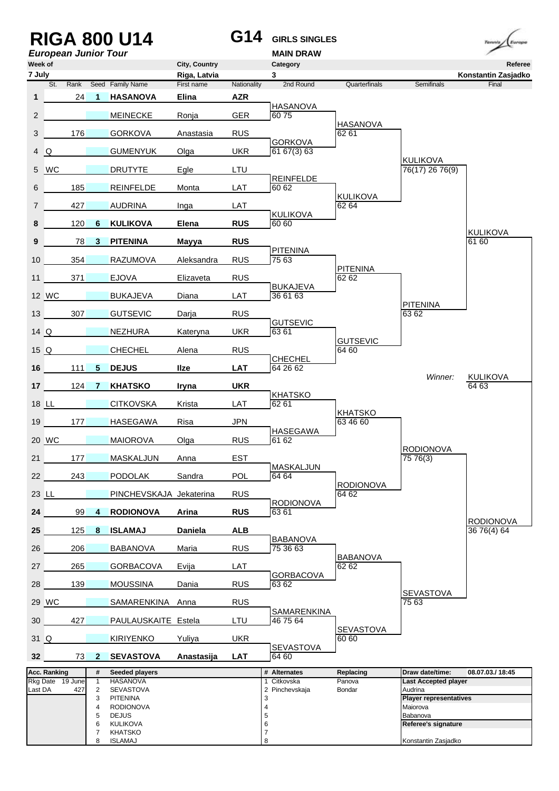|                   |                     |      |                                | <b>RIGA 800 U14</b><br><b>European Junior Tour</b> |                               | G14         | <b>GIRLS SINGLES</b><br><b>MAIN DRAW</b> |                           |                                           | Tennis<br>Europe               |
|-------------------|---------------------|------|--------------------------------|----------------------------------------------------|-------------------------------|-------------|------------------------------------------|---------------------------|-------------------------------------------|--------------------------------|
| Week of<br>7 July |                     |      |                                |                                                    | City, Country<br>Riga, Latvia |             | Category<br>3                            |                           |                                           | Referee<br>Konstantin Zasjadko |
|                   | St.                 | Rank |                                | Seed Family Name                                   | First name                    | Nationality | 2nd Round                                | Quarterfinals             | Semifinals                                | Final                          |
| 1                 |                     | 24   | -1                             | <b>HASANOVA</b>                                    | Elina                         | <b>AZR</b>  | <b>HASANOVA</b>                          |                           |                                           |                                |
| $\overline{2}$    |                     |      |                                | <b>MEINECKE</b>                                    | Ronja                         | <b>GER</b>  | 6075                                     | <b>HASANOVA</b>           |                                           |                                |
| 3                 |                     | 176  |                                | <b>GORKOVA</b>                                     | Anastasia                     | <b>RUS</b>  | <b>GORKOVA</b>                           | 62 61                     |                                           |                                |
| 4                 | Q                   |      |                                | <b>GUMENYUK</b>                                    | Olga                          | <b>UKR</b>  | 61 67(3) 63                              |                           |                                           |                                |
| 5                 | <b>WC</b>           |      |                                | <b>DRUTYTE</b>                                     | Egle                          | LTU         |                                          |                           | KULIKOVA<br>76(17) 26 76(9)               |                                |
| 6                 |                     | 185  |                                | <b>REINFELDE</b>                                   | Monta                         | LAT         | <b>REINFELDE</b><br>60 62                |                           |                                           |                                |
| $\overline{7}$    |                     | 427  |                                | <b>AUDRINA</b>                                     | Inga                          | LAT         |                                          | <b>KULIKOVA</b><br>62 64  |                                           |                                |
| 8                 |                     | 120  | 6                              | <b>KULIKOVA</b>                                    | Elena                         | <b>RUS</b>  | <b>KULIKOVA</b><br>60 60                 |                           |                                           |                                |
| 9                 |                     | 78   | $\mathbf{3}$                   | <b>PITENINA</b>                                    | <b>Mayya</b>                  | <b>RUS</b>  |                                          |                           |                                           | <b>KULIKOVA</b><br>61 60       |
| 10                |                     | 354  |                                | <b>RAZUMOVA</b>                                    | Aleksandra                    | <b>RUS</b>  | <b>PITENINA</b><br>75 63                 |                           |                                           |                                |
| 11                |                     | 371  |                                | <b>EJOVA</b>                                       | Elizaveta                     | <b>RUS</b>  |                                          | <b>PITENINA</b><br>62 62  |                                           |                                |
|                   | 12 WC               |      |                                | <b>BUKAJEVA</b>                                    | Diana                         | LAT         | <b>BUKAJEVA</b><br>36 61 63              |                           |                                           |                                |
| 13 <sup>1</sup>   |                     | 307  |                                | <b>GUTSEVIC</b>                                    | Darja                         | <b>RUS</b>  |                                          |                           | <b>PITENINA</b><br>63 62                  |                                |
| 14Q               |                     |      |                                | <b>NEZHURA</b>                                     | Kateryna                      | <b>UKR</b>  | <b>GUTSEVIC</b><br>63 61                 |                           |                                           |                                |
| 15Q               |                     |      |                                | <b>CHECHEL</b>                                     | Alena                         | <b>RUS</b>  |                                          | <b>GUTSEVIC</b><br>64 60  |                                           |                                |
|                   |                     | 111  |                                |                                                    | <b>Ilze</b>                   | <b>LAT</b>  | <b>CHECHEL</b><br>64 26 62               |                           |                                           |                                |
| 16                |                     |      | 5                              | <b>DEJUS</b>                                       |                               |             |                                          |                           | Winner:                                   | <b>KULIKOVA</b>                |
| 17                |                     | 124  | 7                              | <b>KHATSKO</b>                                     | <b>Iryna</b>                  | <b>UKR</b>  | <b>KHATSKO</b>                           |                           |                                           | 64 63                          |
|                   | 18 <u>LL</u>        |      |                                | <b>CITKOVSKA</b>                                   | Krista                        | LAT         | 62 61                                    | <b>KHATSKO</b>            |                                           |                                |
| 19                |                     | 177  |                                | <b>HASEGAWA</b>                                    | Risa                          | <b>JPN</b>  | <b>HASEGAWA</b>                          | 63 46 60                  |                                           |                                |
|                   | 20 WC               |      |                                | <b>MAIOROVA</b>                                    | Olga                          | <b>RUS</b>  | 61 62                                    |                           | <b>RODIONOVA</b>                          |                                |
| 21                |                     | 177  |                                | MASKALJUN                                          | Anna                          | EST         | MASKALJUN                                |                           | 75 76(3)                                  |                                |
| 22                |                     | 243  |                                | <b>PODOLAK</b>                                     | Sandra                        | <b>POL</b>  | 64 64                                    | <b>RODIONOVA</b>          |                                           |                                |
| 23 LL             |                     |      |                                | PINCHEVSKAJA Jekaterina                            |                               | <b>RUS</b>  | <b>RODIONOVA</b>                         | 64 62                     |                                           |                                |
| 24                |                     | 99   | 4                              | <b>RODIONOVA</b>                                   | Arina                         | <b>RUS</b>  | 63 61                                    |                           |                                           | <b>RODIONOVA</b>               |
| 25 <sub>2</sub>   |                     | 125  | 8                              | <b>ISLAMAJ</b>                                     | <b>Daniela</b>                | <b>ALB</b>  | <b>BABANOVA</b>                          |                           |                                           | 36 76(4) 64                    |
| 26                |                     | 206  |                                | BABANOVA                                           | Maria                         | <b>RUS</b>  | 75 36 63                                 | <b>BABANOVA</b>           |                                           |                                |
| 27                |                     | 265  |                                | GORBACOVA                                          | Evija                         | LAT         | <b>GORBACOVA</b>                         | 6262                      |                                           |                                |
| 28                |                     | 139  |                                | <b>MOUSSINA</b>                                    | Dania                         | <b>RUS</b>  | 63 62                                    |                           |                                           |                                |
|                   | 29 WC               |      |                                | SAMARENKINA Anna                                   |                               | <b>RUS</b>  |                                          |                           | <b>SEVASTOVA</b><br>75 63                 |                                |
| 30                |                     | 427  |                                | PAULAUSKAITE Estela                                |                               | LTU         | SAMARENKINA<br>46 75 64                  |                           |                                           |                                |
| 31 Q              |                     |      |                                | <b>KIRIYENKO</b>                                   | Yuliya                        | <b>UKR</b>  |                                          | <b>SEVASTOVA</b><br>60 60 |                                           |                                |
| 32 <sub>2</sub>   |                     | 73   | $\mathbf{2}$                   | <b>SEVASTOVA</b>                                   | <b>Anastasija</b>             | <b>LAT</b>  | SEVASTOVA<br>64 60                       |                           |                                           |                                |
|                   | <b>Acc. Ranking</b> |      | #                              | Seeded players                                     |                               |             | # Alternates                             | Replacing                 | Draw date/time:                           | 08.07.03./18:45                |
| Last DA           | Rkg Date 19 June    | 427  | $\mathbf{1}$<br>$\overline{2}$ | <b>HASANOVA</b><br><b>SEVASTOVA</b>                |                               |             | 1 Citkovska<br>2 Pinchevskaja            | Panova<br>Bondar          | <b>Last Accepted player</b><br>Audrina    |                                |
|                   |                     |      | 3<br>4                         | PITENINA<br><b>RODIONOVA</b>                       |                               |             | 3<br>4                                   |                           | <b>Player representatives</b><br>Maiorova |                                |
|                   |                     |      | 5                              | <b>DEJUS</b>                                       |                               |             | 5                                        |                           | Babanova                                  |                                |
|                   |                     |      | 6<br>7                         | <b>KULIKOVA</b><br><b>KHATSKO</b>                  |                               |             | 6<br>$\overline{\mathcal{I}}$            |                           | Referee's signature                       |                                |
|                   |                     |      | 8                              | ISLAMAJ                                            |                               |             | 8                                        |                           | Konstantin Zasjadko                       |                                |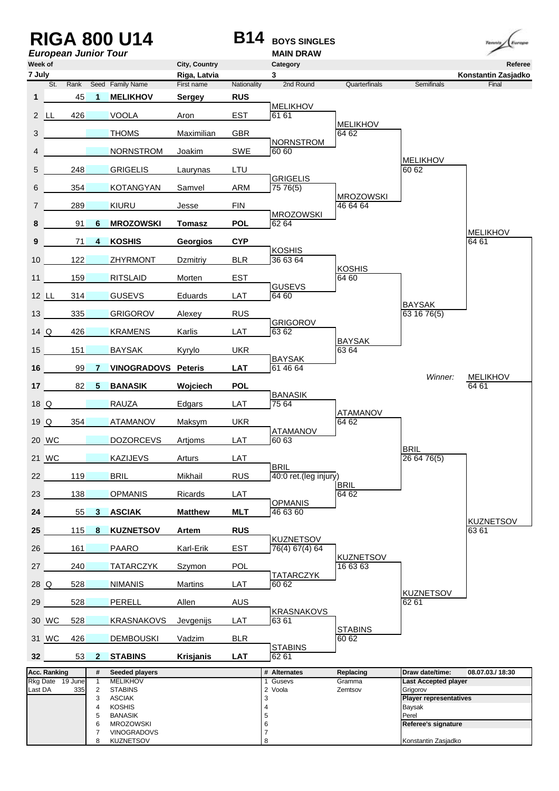|                   |                  |                             |                                | <b>RIGA 800 U14</b>                    |                               | <b>B14</b>  | <b>BOYS SINGLES</b>      |                   |                                         | Europe<br>Tennis               |
|-------------------|------------------|-----------------------------|--------------------------------|----------------------------------------|-------------------------------|-------------|--------------------------|-------------------|-----------------------------------------|--------------------------------|
|                   |                  | <b>European Junior Tour</b> |                                |                                        |                               |             | <b>MAIN DRAW</b>         |                   |                                         |                                |
| Week of<br>7 July |                  |                             |                                |                                        | City, Country<br>Riga, Latvia |             | Category<br>3            |                   |                                         | Referee<br>Konstantin Zasjadko |
|                   | St.              | Rank                        |                                | Seed Family Name                       | First name                    | Nationality | 2nd Round                | Quarterfinals     | Semifinals                              | Final                          |
| 1                 |                  | 45                          | $\mathbf{1}$                   | <b>MELIKHOV</b>                        | <b>Sergey</b>                 | <b>RUS</b>  | <b>MELIKHOV</b>          |                   |                                         |                                |
|                   | 2 LL             | 426                         |                                | <b>VOOLA</b>                           | Aron                          | <b>EST</b>  | 61 61                    | <b>MELIKHOV</b>   |                                         |                                |
| 3                 |                  |                             |                                | <b>THOMS</b>                           | Maximilian                    | <b>GBR</b>  | <b>NORNSTROM</b>         | 64 62             |                                         |                                |
| 4                 |                  |                             |                                | <b>NORNSTROM</b>                       | Joakim                        | SWE         | 60 60                    |                   | <b>MELIKHOV</b>                         |                                |
| 5                 |                  | 248                         |                                | <b>GRIGELIS</b>                        | Laurynas                      | LTU         | <b>GRIGELIS</b>          |                   | 60 62                                   |                                |
| 6                 |                  | 354                         |                                | <b>KOTANGYAN</b>                       | Samvel                        | <b>ARM</b>  | 75 76(5)                 | <b>MROZOWSKI</b>  |                                         |                                |
| 7                 |                  | 289                         |                                | KIURU                                  | Jesse                         | <b>FIN</b>  | <b>MROZOWSKI</b>         | 46 64 64          |                                         |                                |
| 8                 |                  | 91                          | 6                              | <b>MROZOWSKI</b>                       | <b>Tomasz</b>                 | <b>POL</b>  | 62 64                    |                   |                                         | <b>MELIKHOV</b>                |
| 9                 |                  | 71                          | 4                              | <b>KOSHIS</b>                          | Georgios                      | <b>CYP</b>  | <b>KOSHIS</b>            |                   |                                         | 64 61                          |
| 10 <sup>1</sup>   |                  | 122                         |                                | <b>ZHYRMONT</b>                        | Dzmitriy                      | <b>BLR</b>  | 36 63 64                 | <b>KOSHIS</b>     |                                         |                                |
| 11                |                  | 159                         |                                | <b>RITSLAID</b>                        | Morten                        | EST         | <b>GUSEVS</b>            | 64 60             |                                         |                                |
| 12 LL             |                  | 314                         |                                | <b>GUSEVS</b>                          | Eduards                       | LAT         | 64 60                    |                   |                                         |                                |
| 13                |                  | 335                         |                                | <b>GRIGOROV</b>                        | Alexey                        | <b>RUS</b>  |                          |                   | <b>BAYSAK</b><br>63 16 76(5)            |                                |
| $14$ Q            |                  | 426                         |                                | <b>KRAMENS</b>                         | Karlis                        | LAT         | <b>GRIGOROV</b><br>63 62 | <b>BAYSAK</b>     |                                         |                                |
| 15 <sup>15</sup>  |                  | 151                         |                                | <b>BAYSAK</b>                          | Kyrylo                        | <b>UKR</b>  | <b>BAYSAK</b>            | 63 64             |                                         |                                |
| 16                |                  | 99                          | 7                              | <b>VINOGRADOVS Peteris</b>             |                               | <b>LAT</b>  | 61 46 64                 |                   | Winner:                                 | <b>MELIKHOV</b>                |
| 17 <sup>1</sup>   |                  | 82                          | 5                              | <b>BANASIK</b>                         | Wojciech                      | <b>POL</b>  | <b>BANASIK</b>           |                   |                                         | 64 61                          |
| 18Q               |                  |                             |                                | <b>RAUZA</b>                           | Edgars                        | LAT         | 75 64                    | ATAMANOV          |                                         |                                |
| 19 <u>Q</u>       |                  | 354                         |                                | <b>ATAMANOV</b>                        | <b>Maksym</b>                 | <b>UKR</b>  | ATAMANOV                 | 64 62             |                                         |                                |
|                   | 20 WC            |                             |                                | <b>DOZORCEVS</b>                       | Artjoms                       | LAT         | 60 63                    |                   | <b>BRIL</b>                             |                                |
|                   | 21 WC            |                             |                                | KAZIJEVS                               | Arturs                        | LAT         | <b>BRIL</b>              |                   | 266476(5)                               |                                |
| 22                |                  | 119                         |                                | <b>BRIL</b>                            | Mikhail                       | <b>RUS</b>  | 40:0 ret.(leg injury)    | <b>BRIL</b>       |                                         |                                |
| 23                |                  | 138                         |                                | <b>OPMANIS</b>                         | Ricards                       | LAT         | <b>OPMANIS</b>           | 64 62             |                                         |                                |
| 24                |                  | 55                          | 3                              | <b>ASCIAK</b>                          | <b>Matthew</b>                | <b>MLT</b>  | 46 63 60                 |                   |                                         | <b>KUZNETSOV</b>               |
| 25                |                  | 115                         | 8                              | <b>KUZNETSOV</b>                       | Artem                         | <b>RUS</b>  | <b>KUZNETSOV</b>         |                   |                                         | 63 61                          |
| 26                |                  | 161                         |                                | PAARO                                  | Karl-Erik                     | EST         | 76(4) 67(4) 64           | <b>KUZNETSOV</b>  |                                         |                                |
| 27                |                  | 240                         |                                | TATARCZYK                              | Szymon                        | POL         | TATARCZYK                | 16 63 63          |                                         |                                |
| 28Q               |                  | 528                         |                                | <b>NIMANIS</b>                         | Martins                       | LAT         | 60 62                    |                   | <b>KUZNETSOV</b>                        |                                |
| 29                |                  | 528                         |                                | <b>PERELL</b>                          | Allen                         | <b>AUS</b>  | <b>KRASNAKOVS</b>        |                   | 62 61                                   |                                |
|                   | 30 WC            | 528                         |                                | KRASNAKOVS                             | Jevgenijs                     | LAT         | 63 61                    | <b>STABINS</b>    |                                         |                                |
|                   | 31 WC            | 426                         |                                | DEMBOUSKI                              | Vadzim                        | <b>BLR</b>  | <b>STABINS</b>           | 60 62             |                                         |                                |
| 32 <sub>2</sub>   |                  | 53 <sup>°</sup>             | $\mathbf{2}$                   | <b>STABINS</b>                         | <b>Krisjanis</b>              | <b>LAT</b>  | 62 61                    |                   |                                         |                                |
|                   | Acc. Ranking     |                             | #                              | <b>Seeded players</b>                  |                               |             | # Alternates             | Replacing         | Draw date/time:                         | 08.07.03./18:30                |
| Last DA           | Rkg Date 19 June | 335                         | $\mathbf{1}$<br>$\overline{2}$ | <b>MELIKHOV</b><br><b>STABINS</b>      |                               |             | Gusevs<br>1<br>2 Voola   | Gramma<br>Zemtsov | <b>Last Accepted player</b><br>Grigorov |                                |
|                   |                  |                             | 3                              | <b>ASCIAK</b>                          |                               |             | 3                        |                   | <b>Player representatives</b>           |                                |
|                   |                  |                             | 4<br>5                         | <b>KOSHIS</b><br><b>BANASIK</b>        |                               |             | 4<br>5                   |                   | Baysak<br>Perel                         |                                |
|                   |                  |                             | 6                              | <b>MROZOWSKI</b>                       |                               |             | 6                        |                   | Referee's signature                     |                                |
|                   |                  |                             | 7<br>8                         | <b>VINOGRADOVS</b><br><b>KUZNETSOV</b> |                               |             | 7<br>8                   |                   | Konstantin Zasjadko                     |                                |
|                   |                  |                             |                                |                                        |                               |             |                          |                   |                                         |                                |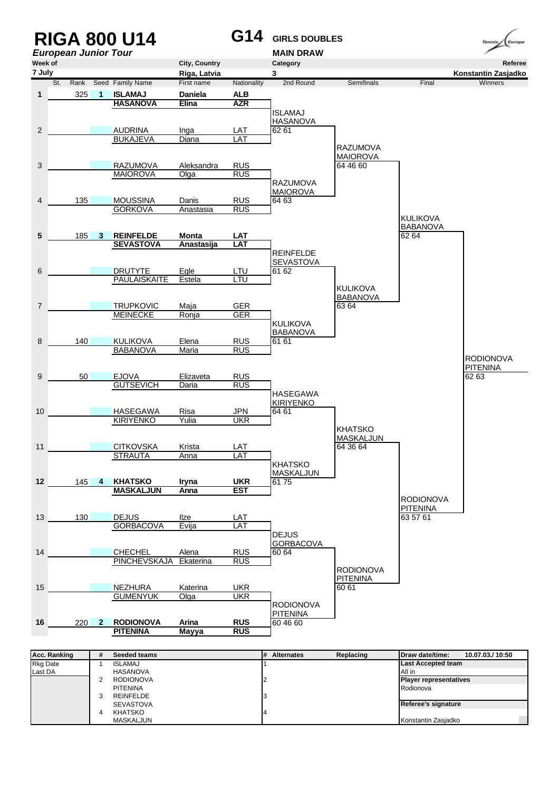

| <b>RKG Date</b> | ISLAMAJ          | <b>ILast Accepted team</b>    |
|-----------------|------------------|-------------------------------|
| Last DA         | HASANOVA         | All in                        |
|                 | <b>RODIONOVA</b> | <b>Player representatives</b> |
|                 | <b>PITENINA</b>  | Rodionova                     |
|                 | <b>REINFELDE</b> |                               |
|                 | <b>SEVASTOVA</b> | Referee's signature           |
|                 | <b>KHATSKO</b>   |                               |
|                 | MASKALJUN        | Konstantin Zasjadko           |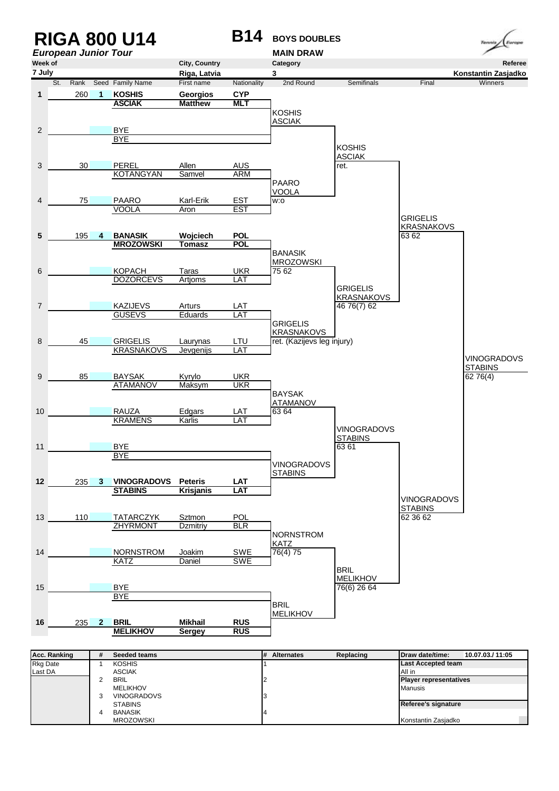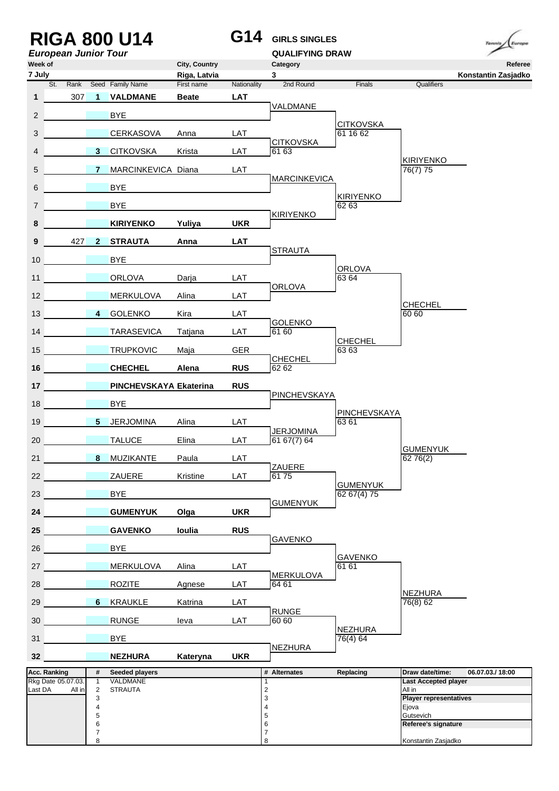| <b>European Junior Tour</b><br>Week of |                                   |                                         | <b>RIGA 800 U14</b>        |                               | G14         | <b>GIRLS SINGLES</b><br><b>QUALIFYING DRAW</b> |                            |                                        | Europe<br>Tennis<br>Referee |
|----------------------------------------|-----------------------------------|-----------------------------------------|----------------------------|-------------------------------|-------------|------------------------------------------------|----------------------------|----------------------------------------|-----------------------------|
| 7 July                                 |                                   |                                         |                            | City, Country<br>Riga, Latvia |             | Category<br>$\mathbf{3}$                       |                            |                                        | Konstantin Zasjadko         |
| St.                                    | Rank                              |                                         | Seed Family Name           | First name                    | Nationality | 2nd Round                                      | Finals                     | Qualifiers                             |                             |
| 1                                      | 307                               | $\overline{1}$                          | <b>VALDMANE</b>            | <b>Beate</b>                  | <b>LAT</b>  | VALDMANE                                       |                            |                                        |                             |
| $\overline{2}$                         |                                   |                                         | <b>BYE</b>                 |                               |             |                                                | <b>CITKOVSKA</b>           |                                        |                             |
| 3                                      |                                   |                                         | <b>CERKASOVA</b>           | Anna                          | LAT         | <b>CITKOVSKA</b>                               | 61 16 62                   |                                        |                             |
| 4                                      |                                   | 3 <sup>1</sup>                          | <b>CITKOVSKA</b>           | Krista                        | LAT         | 6163                                           |                            | <b>KIRIYENKO</b>                       |                             |
| 5                                      |                                   | 7                                       | MARCINKEVICA Diana         |                               | LAT         | <b>MARCINKEVICA</b>                            |                            | 76(7) 75                               |                             |
| 6                                      |                                   |                                         | <b>BYE</b>                 |                               |             |                                                | <b>KIRIYENKO</b>           |                                        |                             |
| $\overline{7}$                         |                                   |                                         | <b>BYE</b>                 |                               |             |                                                | 62 63                      |                                        |                             |
| 8                                      |                                   |                                         | <b>KIRIYENKO</b>           | Yuliya                        | <b>UKR</b>  | <b>KIRIYENKO</b>                               |                            |                                        |                             |
| 9                                      | 427                               | $2^{\circ}$                             | <b>STRAUTA</b>             | Anna                          | <b>LAT</b>  |                                                |                            |                                        |                             |
| 10 <sup>°</sup>                        |                                   |                                         | <b>BYE</b>                 |                               |             | <b>STRAUTA</b>                                 |                            |                                        |                             |
| 11                                     |                                   |                                         | <b>ORLOVA</b>              | Darja                         | LAT         |                                                | <b>ORLOVA</b><br>63 64     |                                        |                             |
| 12                                     |                                   |                                         | <b>MERKULOVA</b>           | Alina                         | LAT         | <b>ORLOVA</b>                                  |                            |                                        |                             |
| 13                                     |                                   | $\overline{4}$                          | <b>GOLENKO</b>             | Kira                          | LAT         |                                                |                            | <b>CHECHEL</b><br>60 60                |                             |
| 14                                     | <b>Contract Contract Contract</b> |                                         | <b>TARASEVICA</b>          | Tatjana                       | LAT         | <b>GOLENKO</b><br>61 60                        |                            |                                        |                             |
| 15                                     |                                   |                                         | <b>TRUPKOVIC</b>           | Maja                          | <b>GER</b>  |                                                | <b>CHECHEL</b><br>6363     |                                        |                             |
| 16                                     |                                   |                                         | <b>CHECHEL</b>             | Alena                         | <b>RUS</b>  | <b>CHECHEL</b><br>6262                         |                            |                                        |                             |
| 17                                     |                                   |                                         | PINCHEVSKAYA Ekaterina     |                               | <b>RUS</b>  |                                                |                            |                                        |                             |
|                                        |                                   |                                         |                            |                               |             | PINCHEVSKAYA                                   |                            |                                        |                             |
| 18                                     |                                   |                                         | <b>BYE</b>                 |                               |             |                                                | PINCHEVSKAYA               |                                        |                             |
| 19                                     |                                   | 5 <sub>1</sub>                          | <b>JERJOMINA</b>           | Alina                         | LAT         | <b>JERJOMINA</b>                               | 6361                       |                                        |                             |
| 20                                     |                                   |                                         | <b>TALUCE</b>              | Elina                         | LAT         | 6167(7)64                                      |                            | <b>GUMENYUK</b>                        |                             |
| 21                                     |                                   | 8                                       | <b>MUZIKANTE</b>           | Paula                         | LAT         | ZAUERE                                         |                            | 6276(2)                                |                             |
| 22                                     |                                   |                                         | ZAUERE                     | Kristine                      | LAT         | 6175                                           | <b>GUMENYUK</b>            |                                        |                             |
| 23                                     |                                   |                                         | <b>BYE</b>                 |                               |             | <b>GUMENYUK</b>                                | 62 67(4) 75                |                                        |                             |
| 24                                     |                                   |                                         | <b>GUMENYUK</b>            | Olga                          | <b>UKR</b>  |                                                |                            |                                        |                             |
| 25                                     |                                   |                                         | <b>GAVENKO</b>             | loulia                        | <b>RUS</b>  | <b>GAVENKO</b>                                 |                            |                                        |                             |
| 26                                     |                                   |                                         | <b>BYE</b>                 |                               |             |                                                | <b>GAVENKO</b>             |                                        |                             |
| 27                                     |                                   |                                         | <b>MERKULOVA</b>           | Alina                         | LAT         | <b>MERKULOVA</b>                               | 61 61                      |                                        |                             |
| 28                                     |                                   |                                         | <b>ROZITE</b>              | Agnese                        | LAT         | 64 61                                          |                            |                                        |                             |
| 29                                     |                                   | $6 -$                                   | <b>KRAUKLE</b>             | Katrina                       | LAT         |                                                |                            | NEZHURA<br>76(8) 62                    |                             |
| 30                                     |                                   |                                         | <b>RUNGE</b>               | leva                          | LAT         | <b>RUNGE</b><br>60 60                          |                            |                                        |                             |
| 31                                     |                                   |                                         | <b>BYE</b>                 |                               |             |                                                | <b>NEZHURA</b><br>76(4) 64 |                                        |                             |
| 32 <sub>2</sub>                        |                                   |                                         | <b>NEZHURA</b>             | Kateryna                      | <b>UKR</b>  | <b>NEZHURA</b>                                 |                            |                                        |                             |
| Acc. Ranking                           |                                   | #                                       | Seeded players             |                               |             | # Alternates                                   | Replacing                  | Draw date/time:                        | 06.07.03./18:00             |
| Rkg Date 05.07.03.<br>Last DA          | All in                            | $\mathbf{1}$<br>$\overline{\mathbf{c}}$ | VALDMANE<br><b>STRAUTA</b> |                               |             | 1<br>$\overline{\mathbf{c}}$                   |                            | <b>Last Accepted player</b><br>All in  |                             |
|                                        |                                   | 3<br>4                                  |                            |                               |             | 3<br>4                                         |                            | <b>Player representatives</b><br>Ejova |                             |
|                                        |                                   | 5                                       |                            |                               |             | 5                                              |                            | Gutsevich                              |                             |
|                                        |                                   | 6<br>$\overline{7}$                     |                            |                               |             | 6<br>7                                         |                            | Referee's signature                    |                             |
|                                        |                                   | 8                                       |                            |                               |             | 8                                              |                            | Konstantin Zasjadko                    |                             |